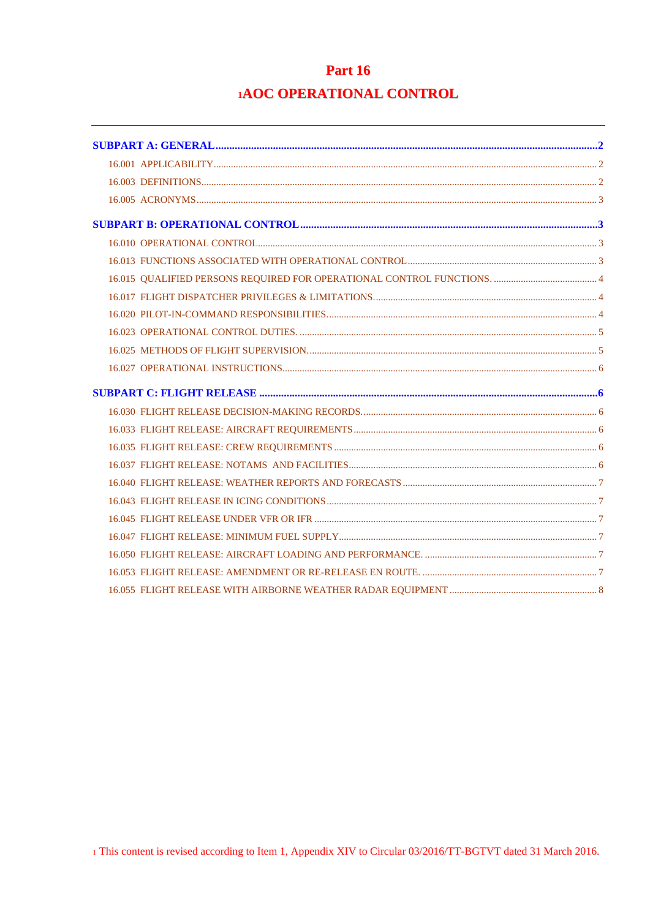# **Part 16 1AOC OPERATIONAL CONTROL**

| 16.010 OPERATIONAL CONTROL CONTROL CONTROL CONTROL CONTROL CONTROL CONTROL CONTROL CONTROL CONTROL CONTROL CONTROL |  |
|--------------------------------------------------------------------------------------------------------------------|--|
|                                                                                                                    |  |
|                                                                                                                    |  |
|                                                                                                                    |  |
|                                                                                                                    |  |
|                                                                                                                    |  |
|                                                                                                                    |  |
|                                                                                                                    |  |
|                                                                                                                    |  |
|                                                                                                                    |  |
|                                                                                                                    |  |
|                                                                                                                    |  |
|                                                                                                                    |  |
|                                                                                                                    |  |
|                                                                                                                    |  |
|                                                                                                                    |  |
|                                                                                                                    |  |
|                                                                                                                    |  |
|                                                                                                                    |  |
|                                                                                                                    |  |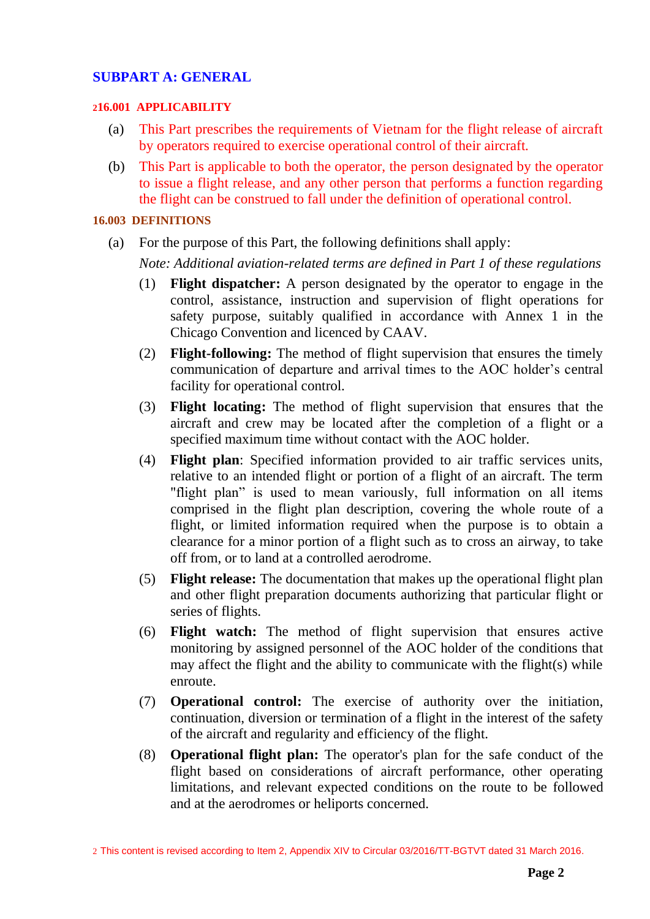## <span id="page-1-0"></span>**SUBPART A: GENERAL**

### <span id="page-1-1"></span>**216.001 APPLICABILITY**

- (a) This Part prescribes the requirements of Vietnam for the flight release of aircraft by operators required to exercise operational control of their aircraft.
- (b) This Part is applicable to both the operator, the person designated by the operator to issue a flight release, and any other person that performs a function regarding the flight can be construed to fall under the definition of operational control.

## <span id="page-1-2"></span>**16.003 DEFINITIONS**

(a) For the purpose of this Part, the following definitions shall apply:

*Note: Additional aviation-related terms are defined in Part 1 of these regulations*

- (1) **Flight dispatcher:** A person designated by the operator to engage in the control, assistance, instruction and supervision of flight operations for safety purpose, suitably qualified in accordance with Annex 1 in the Chicago Convention and licenced by CAAV.
- (2) **Flight-following:** The method of flight supervision that ensures the timely communication of departure and arrival times to the AOC holder's central facility for operational control.
- (3) **Flight locating:** The method of flight supervision that ensures that the aircraft and crew may be located after the completion of a flight or a specified maximum time without contact with the AOC holder.
- (4) **Flight plan**: Specified information provided to air traffic services units, relative to an intended flight or portion of a flight of an aircraft. The term "flight plan" is used to mean variously, full information on all items comprised in the flight plan description, covering the whole route of a flight, or limited information required when the purpose is to obtain a clearance for a minor portion of a flight such as to cross an airway, to take off from, or to land at a controlled aerodrome.
- (5) **Flight release:** The documentation that makes up the operational flight plan and other flight preparation documents authorizing that particular flight or series of flights.
- (6) **Flight watch:** The method of flight supervision that ensures active monitoring by assigned personnel of the AOC holder of the conditions that may affect the flight and the ability to communicate with the flight(s) while enroute.
- (7) **Operational control:** The exercise of authority over the initiation, continuation, diversion or termination of a flight in the interest of the safety of the aircraft and regularity and efficiency of the flight.
- (8) **Operational flight plan:** The operator's plan for the safe conduct of the flight based on considerations of aircraft performance, other operating limitations, and relevant expected conditions on the route to be followed and at the aerodromes or heliports concerned.

2 This content is revised according to Item 2, Appendix XIV to Circular 03/2016/TT-BGTVT dated 31 March 2016.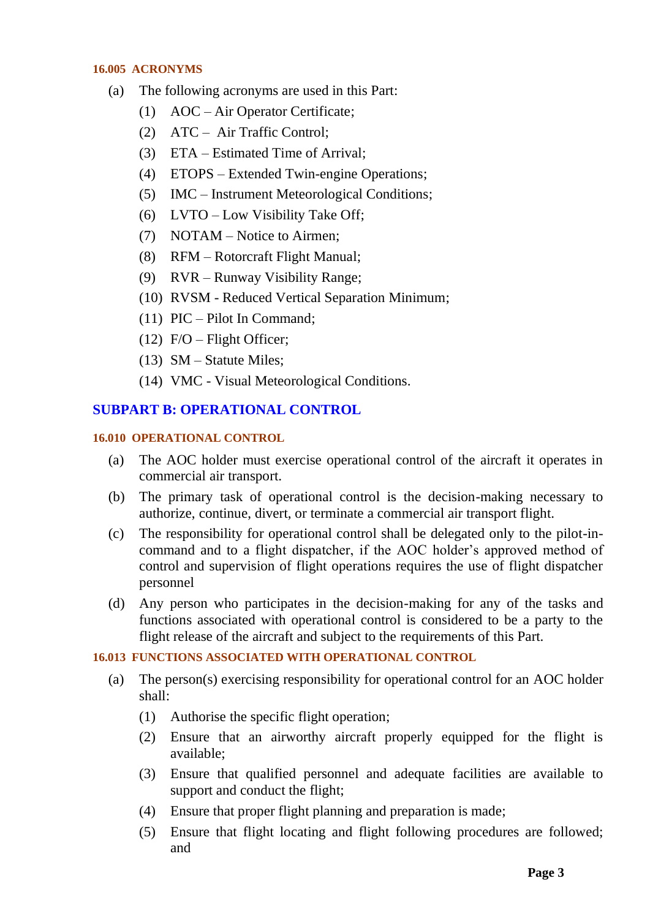#### <span id="page-2-0"></span>**16.005 ACRONYMS**

- (a) The following acronyms are used in this Part:
	- (1) AOC Air Operator Certificate;
	- (2) ATC Air Traffic Control;
	- (3) ETA Estimated Time of Arrival;
	- (4) ETOPS Extended Twin-engine Operations;
	- (5) IMC Instrument Meteorological Conditions;
	- (6) LVTO Low Visibility Take Off;
	- (7) NOTAM Notice to Airmen;
	- (8) RFM Rotorcraft Flight Manual;
	- (9) RVR Runway Visibility Range;
	- (10) RVSM Reduced Vertical Separation Minimum;
	- (11) PIC Pilot In Command;
	- $(12)$  F/O Flight Officer;
	- (13) SM Statute Miles;
	- (14) VMC Visual Meteorological Conditions.

## <span id="page-2-1"></span>**SUBPART B: OPERATIONAL CONTROL**

### <span id="page-2-2"></span>**16.010 OPERATIONAL CONTROL**

- (a) The AOC holder must exercise operational control of the aircraft it operates in commercial air transport.
- (b) The primary task of operational control is the decision-making necessary to authorize, continue, divert, or terminate a commercial air transport flight.
- (c) The responsibility for operational control shall be delegated only to the pilot-incommand and to a flight dispatcher, if the AOC holder's approved method of control and supervision of flight operations requires the use of flight dispatcher personnel
- (d) Any person who participates in the decision-making for any of the tasks and functions associated with operational control is considered to be a party to the flight release of the aircraft and subject to the requirements of this Part.

## <span id="page-2-3"></span>**16.013 FUNCTIONS ASSOCIATED WITH OPERATIONAL CONTROL**

- (a) The person(s) exercising responsibility for operational control for an AOC holder shall:
	- (1) Authorise the specific flight operation;
	- (2) Ensure that an airworthy aircraft properly equipped for the flight is available;
	- (3) Ensure that qualified personnel and adequate facilities are available to support and conduct the flight;
	- (4) Ensure that proper flight planning and preparation is made;
	- (5) Ensure that flight locating and flight following procedures are followed; and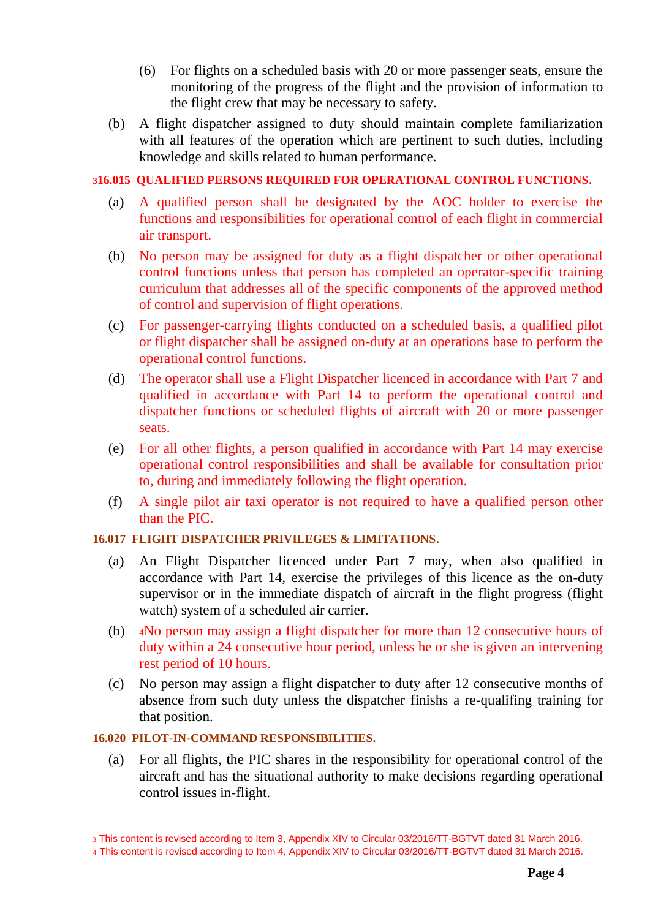- (6) For flights on a scheduled basis with 20 or more passenger seats, ensure the monitoring of the progress of the flight and the provision of information to the flight crew that may be necessary to safety.
- (b) A flight dispatcher assigned to duty should maintain complete familiarization with all features of the operation which are pertinent to such duties, including knowledge and skills related to human performance.

## <span id="page-3-0"></span>**316.015 QUALIFIED PERSONS REQUIRED FOR OPERATIONAL CONTROL FUNCTIONS.**

- (a) A qualified person shall be designated by the AOC holder to exercise the functions and responsibilities for operational control of each flight in commercial air transport.
- (b) No person may be assigned for duty as a flight dispatcher or other operational control functions unless that person has completed an operator-specific training curriculum that addresses all of the specific components of the approved method of control and supervision of flight operations.
- (c) For passenger-carrying flights conducted on a scheduled basis, a qualified pilot or flight dispatcher shall be assigned on-duty at an operations base to perform the operational control functions.
- (d) The operator shall use a Flight Dispatcher licenced in accordance with Part 7 and qualified in accordance with Part 14 to perform the operational control and dispatcher functions or scheduled flights of aircraft with 20 or more passenger seats.
- (e) For all other flights, a person qualified in accordance with Part 14 may exercise operational control responsibilities and shall be available for consultation prior to, during and immediately following the flight operation.
- (f) A single pilot air taxi operator is not required to have a qualified person other than the PIC.

### <span id="page-3-1"></span>**16.017 FLIGHT DISPATCHER PRIVILEGES & LIMITATIONS.**

- (a) An Flight Dispatcher licenced under Part 7 may, when also qualified in accordance with Part 14, exercise the privileges of this licence as the on-duty supervisor or in the immediate dispatch of aircraft in the flight progress (flight watch) system of a scheduled air carrier.
- (b) <sup>4</sup>No person may assign a flight dispatcher for more than 12 consecutive hours of duty within a 24 consecutive hour period, unless he or she is given an intervening rest period of 10 hours.
- (c) No person may assign a flight dispatcher to duty after 12 consecutive months of absence from such duty unless the dispatcher finishs a re-qualifing training for that position.

## <span id="page-3-2"></span>**16.020 PILOT-IN-COMMAND RESPONSIBILITIES.**

(a) For all flights, the PIC shares in the responsibility for operational control of the aircraft and has the situational authority to make decisions regarding operational control issues in-flight.

<sup>3</sup> This content is revised according to Item 3, Appendix XIV to Circular 03/2016/TT-BGTVT dated 31 March 2016.

<sup>4</sup> This content is revised according to Item 4, Appendix XIV to Circular 03/2016/TT-BGTVT dated 31 March 2016.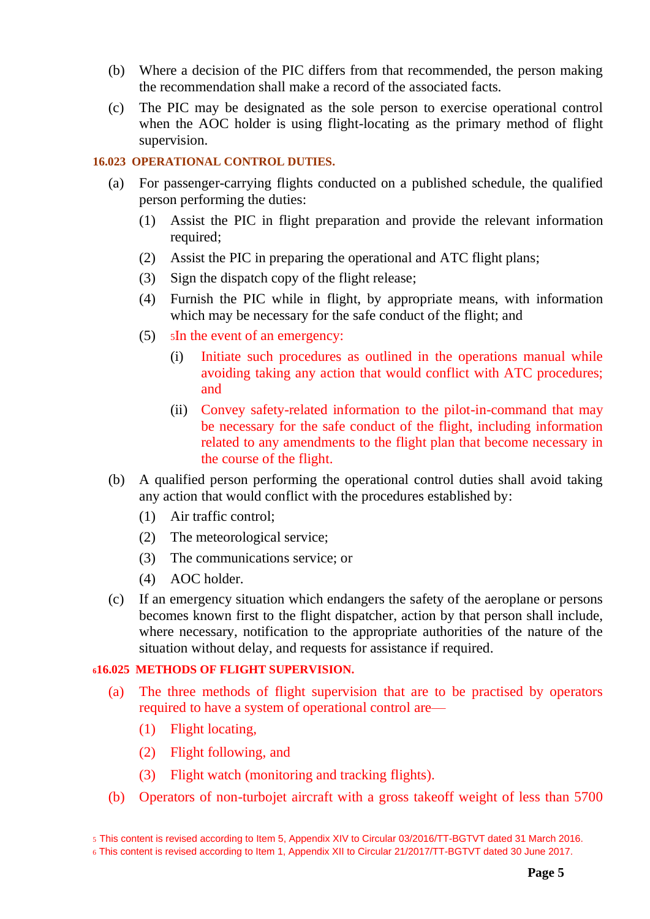- (b) Where a decision of the PIC differs from that recommended, the person making the recommendation shall make a record of the associated facts.
- (c) The PIC may be designated as the sole person to exercise operational control when the AOC holder is using flight-locating as the primary method of flight supervision.

## <span id="page-4-0"></span>**16.023 OPERATIONAL CONTROL DUTIES.**

- (a) For passenger-carrying flights conducted on a published schedule, the qualified person performing the duties:
	- (1) Assist the PIC in flight preparation and provide the relevant information required;
	- (2) Assist the PIC in preparing the operational and ATC flight plans;
	- (3) Sign the dispatch copy of the flight release;
	- (4) Furnish the PIC while in flight, by appropriate means, with information which may be necessary for the safe conduct of the flight; and
	- (5) <sup>5</sup>In the event of an emergency:
		- (i) Initiate such procedures as outlined in the operations manual while avoiding taking any action that would conflict with ATC procedures; and
		- (ii) Convey safety-related information to the pilot-in-command that may be necessary for the safe conduct of the flight, including information related to any amendments to the flight plan that become necessary in the course of the flight.
- (b) A qualified person performing the operational control duties shall avoid taking any action that would conflict with the procedures established by:
	- (1) Air traffic control;
	- (2) The meteorological service;
	- (3) The communications service; or
	- (4) AOC holder.
- (c) If an emergency situation which endangers the safety of the aeroplane or persons becomes known first to the flight dispatcher, action by that person shall include, where necessary, notification to the appropriate authorities of the nature of the situation without delay, and requests for assistance if required.

## <span id="page-4-1"></span>**<sup>6</sup>16.025 METHODS OF FLIGHT SUPERVISION.**

- (a) The three methods of flight supervision that are to be practised by operators required to have a system of operational control are—
	- (1) Flight locating,
	- (2) Flight following, and
	- (3) Flight watch (monitoring and tracking flights).
- (b) Operators of non-turbojet aircraft with a gross takeoff weight of less than 5700

<sup>5</sup> This content is revised according to Item 5, Appendix XIV to Circular 03/2016/TT-BGTVT dated 31 March 2016.

<sup>6</sup> This content is revised according to Item 1, Appendix XII to Circular 21/2017/TT-BGTVT dated 30 June 2017.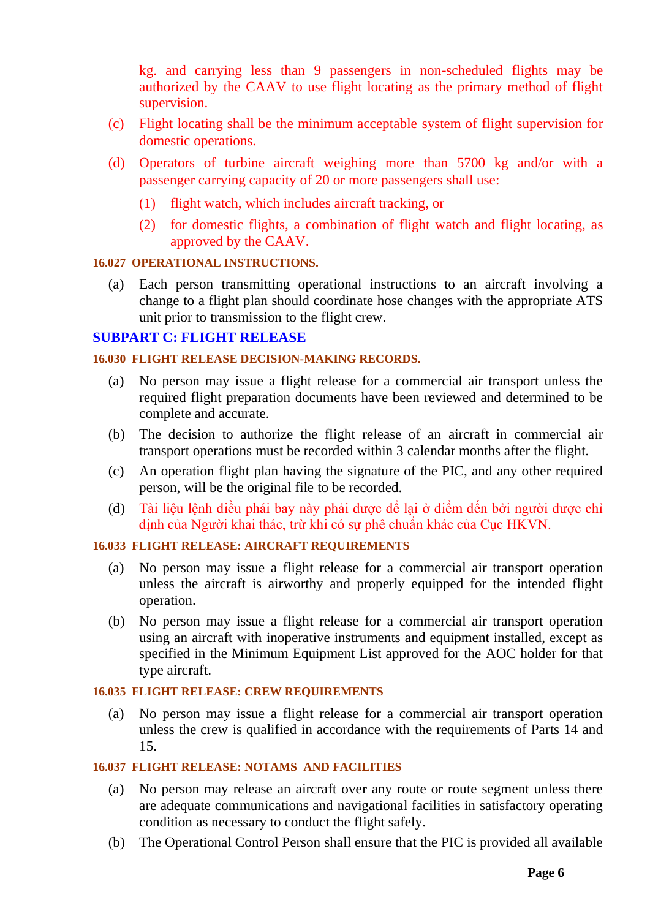kg. and carrying less than 9 passengers in non-scheduled flights may be authorized by the CAAV to use flight locating as the primary method of flight supervision.

- (c) Flight locating shall be the minimum acceptable system of flight supervision for domestic operations.
- (d) Operators of turbine aircraft weighing more than 5700 kg and/or with a passenger carrying capacity of 20 or more passengers shall use:
	- (1) flight watch, which includes aircraft tracking, or
	- (2) for domestic flights, a combination of flight watch and flight locating, as approved by the CAAV.

### <span id="page-5-0"></span>**16.027 OPERATIONAL INSTRUCTIONS.**

(a) Each person transmitting operational instructions to an aircraft involving a change to a flight plan should coordinate hose changes with the appropriate ATS unit prior to transmission to the flight crew.

## <span id="page-5-1"></span>**SUBPART C: FLIGHT RELEASE**

### <span id="page-5-2"></span>**16.030 FLIGHT RELEASE DECISION-MAKING RECORDS.**

- (a) No person may issue a flight release for a commercial air transport unless the required flight preparation documents have been reviewed and determined to be complete and accurate.
- (b) The decision to authorize the flight release of an aircraft in commercial air transport operations must be recorded within 3 calendar months after the flight.
- (c) An operation flight plan having the signature of the PIC, and any other required person, will be the original file to be recorded.
- (d) Tài liệu lệnh điều phái bay này phải được để lại ở điểm đến bởi người được chỉ định của Người khai thác, trừ khi có sự phê chuẩn khác của Cục HKVN.

## <span id="page-5-3"></span>**16.033 FLIGHT RELEASE: AIRCRAFT REQUIREMENTS**

- (a) No person may issue a flight release for a commercial air transport operation unless the aircraft is airworthy and properly equipped for the intended flight operation.
- (b) No person may issue a flight release for a commercial air transport operation using an aircraft with inoperative instruments and equipment installed, except as specified in the Minimum Equipment List approved for the AOC holder for that type aircraft.

## <span id="page-5-4"></span>**16.035 FLIGHT RELEASE: CREW REQUIREMENTS**

(a) No person may issue a flight release for a commercial air transport operation unless the crew is qualified in accordance with the requirements of Parts 14 and 15.

### <span id="page-5-5"></span>**16.037 FLIGHT RELEASE: NOTAMS AND FACILITIES**

- (a) No person may release an aircraft over any route or route segment unless there are adequate communications and navigational facilities in satisfactory operating condition as necessary to conduct the flight safely.
- (b) The Operational Control Person shall ensure that the PIC is provided all available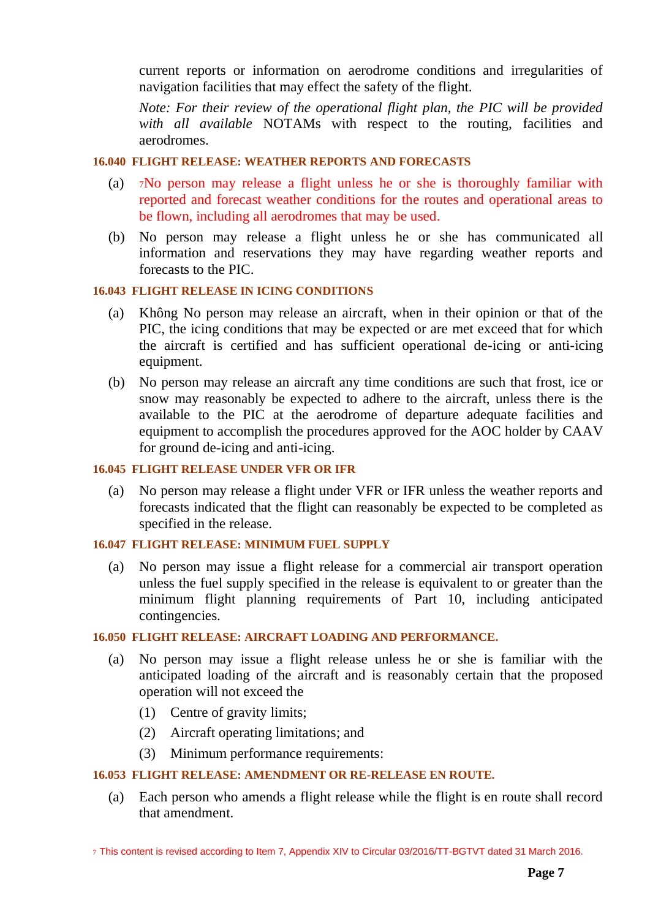current reports or information on aerodrome conditions and irregularities of navigation facilities that may effect the safety of the flight.

*Note: For their review of the operational flight plan, the PIC will be provided with all available* NOTAMs with respect to the routing, facilities and aerodromes.

## <span id="page-6-0"></span>**16.040 FLIGHT RELEASE: WEATHER REPORTS AND FORECASTS**

- (a) <sup>7</sup>No person may release a flight unless he or she is thoroughly familiar with reported and forecast weather conditions for the routes and operational areas to be flown, including all aerodromes that may be used.
- (b) No person may release a flight unless he or she has communicated all information and reservations they may have regarding weather reports and forecasts to the PIC.

## <span id="page-6-1"></span>**16.043 FLIGHT RELEASE IN ICING CONDITIONS**

- (a) Không No person may release an aircraft, when in their opinion or that of the PIC, the icing conditions that may be expected or are met exceed that for which the aircraft is certified and has sufficient operational de-icing or anti-icing equipment.
- (b) No person may release an aircraft any time conditions are such that frost, ice or snow may reasonably be expected to adhere to the aircraft, unless there is the available to the PIC at the aerodrome of departure adequate facilities and equipment to accomplish the procedures approved for the AOC holder by CAAV for ground de-icing and anti-icing.

### <span id="page-6-2"></span>**16.045 FLIGHT RELEASE UNDER VFR OR IFR**

(a) No person may release a flight under VFR or IFR unless the weather reports and forecasts indicated that the flight can reasonably be expected to be completed as specified in the release.

### <span id="page-6-3"></span>**16.047 FLIGHT RELEASE: MINIMUM FUEL SUPPLY**

(a) No person may issue a flight release for a commercial air transport operation unless the fuel supply specified in the release is equivalent to or greater than the minimum flight planning requirements of Part 10, including anticipated contingencies.

## <span id="page-6-4"></span>**16.050 FLIGHT RELEASE: AIRCRAFT LOADING AND PERFORMANCE.**

- (a) No person may issue a flight release unless he or she is familiar with the anticipated loading of the aircraft and is reasonably certain that the proposed operation will not exceed the
	- (1) Centre of gravity limits;
	- (2) Aircraft operating limitations; and
	- (3) Minimum performance requirements:

## <span id="page-6-5"></span>**16.053 FLIGHT RELEASE: AMENDMENT OR RE-RELEASE EN ROUTE.**

(a) Each person who amends a flight release while the flight is en route shall record that amendment.

7 This content is revised according to Item 7, Appendix XIV to Circular 03/2016/TT-BGTVT dated 31 March 2016.